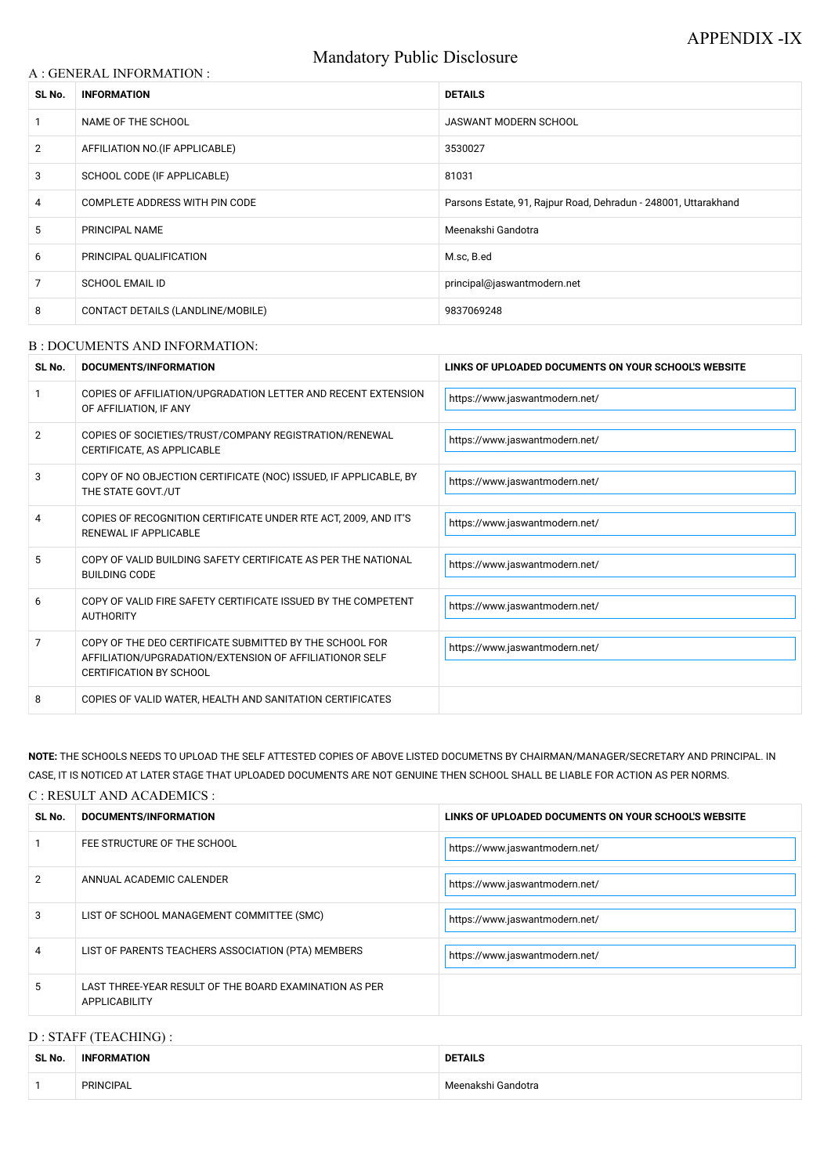# Mandatory Public Disclosure

## A : GENERAL INFORMATION :

| SL No.         | <b>INFORMATION</b>                | <b>DETAILS</b>                                                  |
|----------------|-----------------------------------|-----------------------------------------------------------------|
|                | NAME OF THE SCHOOL                | <b>JASWANT MODERN SCHOOL</b>                                    |
| $\overline{2}$ | AFFILIATION NO. (IF APPLICABLE)   | 3530027                                                         |
| 3              | SCHOOL CODE (IF APPLICABLE)       | 81031                                                           |
| 4              | COMPLETE ADDRESS WITH PIN CODE    | Parsons Estate, 91, Rajpur Road, Dehradun - 248001, Uttarakhand |
| 5              | PRINCIPAL NAME                    | Meenakshi Gandotra                                              |
| 6              | PRINCIPAL QUALIFICATION           | M.sc, B.ed                                                      |
| 7              | <b>SCHOOL EMAIL ID</b>            | principal@jaswantmodern.net                                     |
| 8              | CONTACT DETAILS (LANDLINE/MOBILE) | 9837069248                                                      |

#### B : DOCUMENTS AND INFORMATION:

| SL No.         | DOCUMENTS/INFORMATION                                                                                                                                | LINKS OF UPLOADED DOCUMENTS ON YOUR SCHOOL'S WEBSITE |  |
|----------------|------------------------------------------------------------------------------------------------------------------------------------------------------|------------------------------------------------------|--|
|                | COPIES OF AFFILIATION/UPGRADATION LETTER AND RECENT EXTENSION<br>OF AFFILIATION, IF ANY                                                              | https://www.jaswantmodern.net/                       |  |
| $\overline{2}$ | COPIES OF SOCIETIES/TRUST/COMPANY REGISTRATION/RENEWAL<br>CERTIFICATE, AS APPLICABLE                                                                 | https://www.jaswantmodern.net/                       |  |
| 3              | COPY OF NO OBJECTION CERTIFICATE (NOC) ISSUED, IF APPLICABLE, BY<br>THE STATE GOVT./UT                                                               | https://www.jaswantmodern.net/                       |  |
| 4              | COPIES OF RECOGNITION CERTIFICATE UNDER RTE ACT, 2009, AND IT'S<br>RENEWAL IF APPLICABLE                                                             | https://www.jaswantmodern.net/                       |  |
| 5              | COPY OF VALID BUILDING SAFETY CERTIFICATE AS PER THE NATIONAL<br><b>BUILDING CODE</b>                                                                | https://www.jaswantmodern.net/                       |  |
| 6              | COPY OF VALID FIRE SAFETY CERTIFICATE ISSUED BY THE COMPETENT<br><b>AUTHORITY</b>                                                                    | https://www.jaswantmodern.net/                       |  |
| 7              | COPY OF THE DEO CERTIFICATE SUBMITTED BY THE SCHOOL FOR<br>AFFILIATION/UPGRADATION/EXTENSION OF AFFILIATIONOR SELF<br><b>CERTIFICATION BY SCHOOL</b> | https://www.jaswantmodern.net/                       |  |
| 8              | COPIES OF VALID WATER, HEALTH AND SANITATION CERTIFICATES                                                                                            |                                                      |  |

**NOTE:** THE SCHOOLS NEEDS TO UPLOAD THE SELF ATTESTED COPIES OF ABOVE LISTED DOCUMETNS BY CHAIRMAN/MANAGER/SECRETARY AND PRINCIPAL. IN CASE, IT IS NOTICED AT LATER STAGE THAT UPLOADED DOCUMENTS ARE NOT GENUINE THEN SCHOOL SHALL BE LIABLE FOR ACTION AS PER NORMS.

#### C : RESULT AND ACADEMICS :

| SL No. | DOCUMENTS/INFORMATION                                                   | LINKS OF UPLOADED DOCUMENTS ON YOUR SCHOOL'S WEBSITE |
|--------|-------------------------------------------------------------------------|------------------------------------------------------|
|        | FEE STRUCTURE OF THE SCHOOL                                             | https://www.jaswantmodern.net/                       |
| 2      | ANNUAL ACADEMIC CALENDER                                                | https://www.jaswantmodern.net/                       |
| 3      | LIST OF SCHOOL MANAGEMENT COMMITTEE (SMC)                               | https://www.jaswantmodern.net/                       |
| 4      | LIST OF PARENTS TEACHERS ASSOCIATION (PTA) MEMBERS                      | https://www.jaswantmodern.net/                       |
| 5.     | LAST THREE-YEAR RESULT OF THE BOARD EXAMINATION AS PER<br>APPLICABILITY |                                                      |

## D : STAFF (TEACHING) :

| SL No. | <b>INFORMATION</b> | DETAILS            |
|--------|--------------------|--------------------|
|        | <b>PRINCIPAL</b>   | Meenakshi Gandotra |